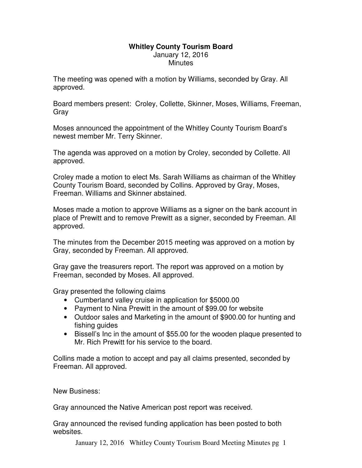## **Whitley County Tourism Board**  January 12, 2016 **Minutes**

The meeting was opened with a motion by Williams, seconded by Gray. All approved.

Board members present: Croley, Collette, Skinner, Moses, Williams, Freeman, Gray

Moses announced the appointment of the Whitley County Tourism Board's newest member Mr. Terry Skinner.

The agenda was approved on a motion by Croley, seconded by Collette. All approved.

Croley made a motion to elect Ms. Sarah Williams as chairman of the Whitley County Tourism Board, seconded by Collins. Approved by Gray, Moses, Freeman. Williams and Skinner abstained.

Moses made a motion to approve Williams as a signer on the bank account in place of Prewitt and to remove Prewitt as a signer, seconded by Freeman. All approved.

The minutes from the December 2015 meeting was approved on a motion by Gray, seconded by Freeman. All approved.

Gray gave the treasurers report. The report was approved on a motion by Freeman, seconded by Moses. All approved.

Gray presented the following claims

- Cumberland valley cruise in application for \$5000.00
- Payment to Nina Prewitt in the amount of \$99.00 for website
- Outdoor sales and Marketing in the amount of \$900.00 for hunting and fishing guides
- Bissell's Inc in the amount of \$55.00 for the wooden plaque presented to Mr. Rich Prewitt for his service to the board.

Collins made a motion to accept and pay all claims presented, seconded by Freeman. All approved.

New Business:

Gray announced the Native American post report was received.

Gray announced the revised funding application has been posted to both websites.

January 12, 2016 Whitley County Tourism Board Meeting Minutes pg 1